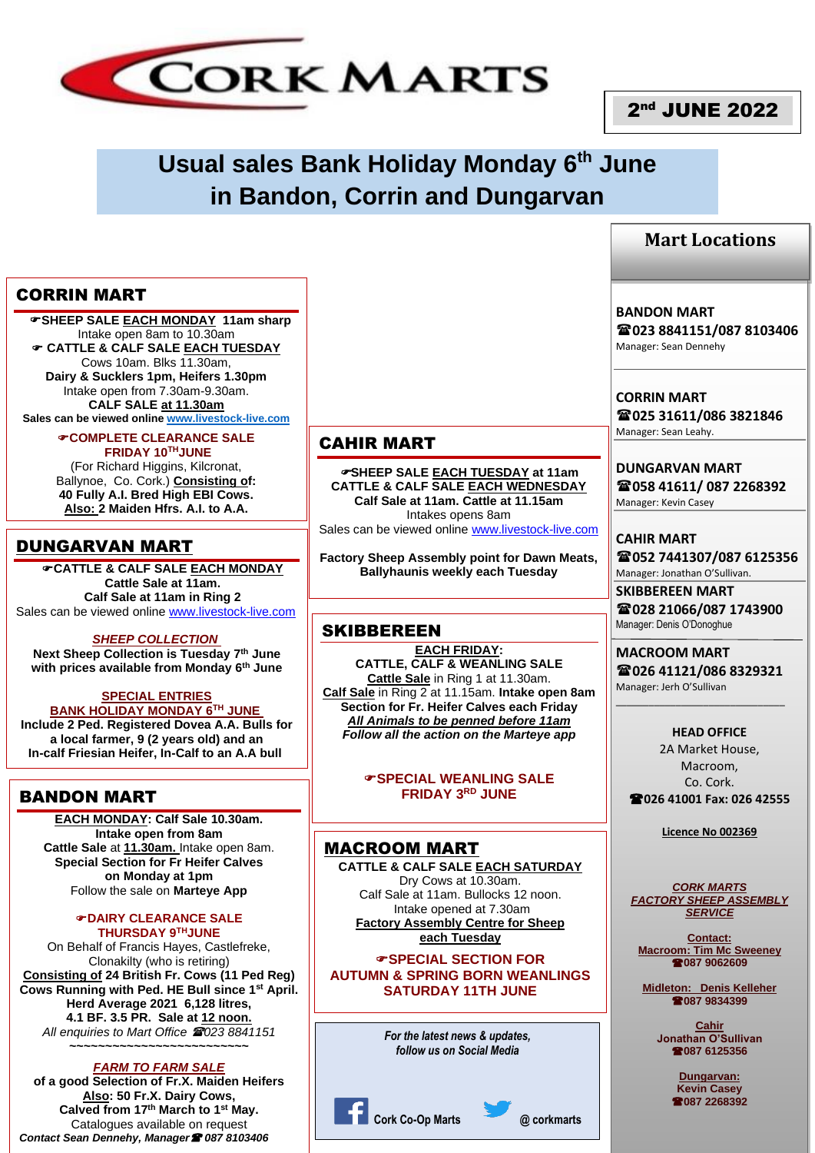

# 2<sup>nd</sup> JUNE 2022

# **Usual sales Bank Holiday Monday 6th June in Bandon, Corrin and Dungarvan**

# CORRIN MART

 **SHEEP SALE EACH MONDAY 11am sharp** Intake open 8am to 10.30am **CATTLE & CALF SALE EACH TUESDAY** Cows 10am. Blks 11.30am, **Dairy & Sucklers 1pm, Heifers 1.30pm** Intake open from 7.30am-9.30am. **CALF SALE at 11.30am Sales can be viewed online [www.livestock-live.com](http://www.livestock-live.com/)**

**COMPLETE CLEARANCE SALE**

**FRIDAY 10THJUNE** (For Richard Higgins, Kilcronat, Ballynoe, Co. Cork.) **Consisting of: 40 Fully A.I. Bred High EBI Cows. Also: 2 Maiden Hfrs. A.I. to A.A.**

# DUNGARVAN MART

**CATTLE & CALF SALE EACH MONDAY Cattle Sale at 11am. Calf Sale at 11am in Ring 2** Sales can be viewed online [www.livestock-live.com](http://www.livestock-live.com/)

#### *SHEEP COLLECTION*

**Next Sheep Collection is Tuesday 7 th June with prices available from Monday 6 th June**

### **SPECIAL ENTRIES BANK HOLIDAY MONDAY 6TH JUNE**

**Include 2 Ped. Registered Dovea A.A. Bulls for a local farmer, 9 (2 years old) and an In-calf Friesian Heifer, In-Calf to an A.A bull**

# BANDON MART

**EACH MONDAY: Calf Sale 10.30am. Intake open from 8am Cattle Sale** at **11.30am.** Intake open 8am. **Special Section for Fr Heifer Calves on Monday at 1pm** Follow the sale on **Marteye App**

#### **DAIRY CLEARANCE SALE THURSDAY 9THJUNE**

On Behalf of Francis Hayes, Castlefreke, Clonakilty (who is retiring) **Consisting of 24 British Fr. Cows (11 Ped Reg) Cows Running with Ped. HE Bull since 1st April. Herd Average 2021 6,128 litres, 4.1 BF. 3.5 PR. Sale at 12 noon.** *All enquiries to Mart Office 023 8841151* **~~~~~~~~~~~~~~~~~~~~~~~~~**

### *FARM TO FARM SALE*

**of a good Selection of Fr.X. Maiden Heifers Also: 50 Fr.X. Dairy Cows, Calved from 17th March to 1st May.** Catalogues available on request *Contact Sean Dennehy, Manager 087 8103406*

# CAHIR MART

**SHEEP SALE EACH TUESDAY at 11am CATTLE & CALF SALE EACH WEDNESDAY Calf Sale at 11am. Cattle at 11.15am** Intakes opens 8am Sales can be viewed online [www.livestock-live.com](http://www.livestock-live.com/)

**Factory Sheep Assembly point for Dawn Meats, Ballyhaunis weekly each Tuesday**

## **SKIBBEREEN**

**EACH FRIDAY: CATTLE, CALF & WEANLING SALE Cattle Sale** in Ring 1 at 11.30am. **Calf Sale** in Ring 2 at 11.15am. **Intake open 8am Section for Fr. Heifer Calves each Friday** *All Animals to be penned before 11am Follow all the action on the Marteye app*

> **SPECIAL WEANLING SALE FRIDAY 3RD JUNE**

#### MACROOM MART **CATTLE & CALF SALE EACH SATURDAY** Dry Cows at 10.30am. Calf Sale at 11am. Bullocks 12 noon. Intake opened at 7.30am **Factory Assembly Centre for Sheep each Tuesday**

**SPECIAL SECTION FOR AUTUMN & SPRING BORN WEANLINGS SATURDAY 11TH JUNE** 

> *For the latest news & updates, follow us on Social Media*



# **Mart Locations**

**BANDON MART 023 8841151/087 8103406** Manager: Sean Dennehy

**CORRIN MART 025 31611/086 3821846** Manager: Sean Leahy.

**DUNGARVAN MART 058 41611/ 087 2268392** Manager: Kevin Casey

**CAHIR MART 052 7441307/087 6125356** Manager: Jonathan O'Sullivan.

**SKIBBEREEN MART 028 21066/087 1743900** Manager: Denis O'Donoghue

**MACROOM MART 026 41121/086 8329321** Manager: Jerh O'Sullivan

\_\_\_\_\_\_\_\_\_\_\_\_\_\_\_\_\_\_\_\_\_\_\_\_\_\_\_\_\_\_\_

**HEAD OFFICE** 2A Market House, Macroom, Co. Cork. **026 41001 Fax: 026 42555**

**Licence No 002369**

*CORK MARTS FACTORY SHEEP ASSEMBLY SERVICE*

**Contact: Macroom: Tim Mc Sweeney 087 9062609**

**Midleton: Denis Kelleher 087 9834399**

> **Cahir Jonathan O'Sullivan 087 6125356**

> > **Dungarvan: Kevin Casey 087 2268392**